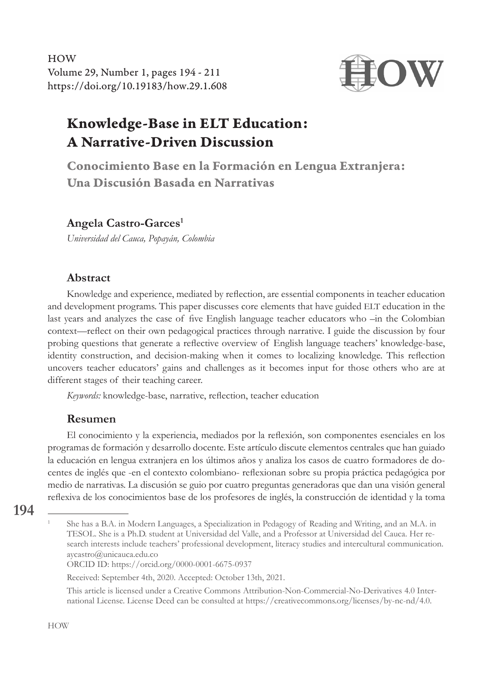HOW Volume 29, Number 1, pages 194 - 211 https://doi.org/10.19183/how.29.1.608



# Knowledge-Base in ELT Education: A Narrative-Driven Discussion

Conocimiento Base en la Formación en Lengua Extranjera: Una Discusión Basada en Narrativas

#### **Angela Castro-Garces1**

*Universidad del Cauca, Popayán, Colombia*

#### **Abstract**

Knowledge and experience, mediated by reflection, are essential components in teacher education and development programs. This paper discusses core elements that have guided ELT education in the last years and analyzes the case of five English language teacher educators who –in the Colombian context—reflect on their own pedagogical practices through narrative. I guide the discussion by four probing questions that generate a reflective overview of English language teachers' knowledge-base, identity construction, and decision-making when it comes to localizing knowledge. This reflection uncovers teacher educators' gains and challenges as it becomes input for those others who are at different stages of their teaching career.

*Keywords:* knowledge-base, narrative, reflection, teacher education

#### **Resumen**

El conocimiento y la experiencia, mediados por la reflexión, son componentes esenciales en los programas de formación y desarrollo docente. Este artículo discute elementos centrales que han guiado la educación en lengua extranjera en los últimos años y analiza los casos de cuatro formadores de docentes de inglés que -en el contexto colombiano- reflexionan sobre su propia práctica pedagógica por medio de narrativas. La discusión se guio por cuatro preguntas generadoras que dan una visión general reflexiva de los conocimientos base de los profesores de inglés, la construcción de identidad y la toma

ORCID ID: https://orcid.org/0000-0001-6675-0937

Received: September 4th, 2020. Accepted: October 13th, 2021.

This article is licensed under a Creative Commons Attribution-Non-Commercial-No-Derivatives 4.0 International License. License Deed can be consulted at https://creativecommons.org/licenses/by-nc-nd/4.0.

**<sup>194</sup>**

<sup>1</sup> She has a B.A. in Modern Languages, a Specialization in Pedagogy of Reading and Writing, and an M.A. in TESOL. She is a Ph.D. student at Universidad del Valle, and a Professor at Universidad del Cauca. Her research interests include teachers' professional development, literacy studies and intercultural communication. aycastro@unicauca.edu.co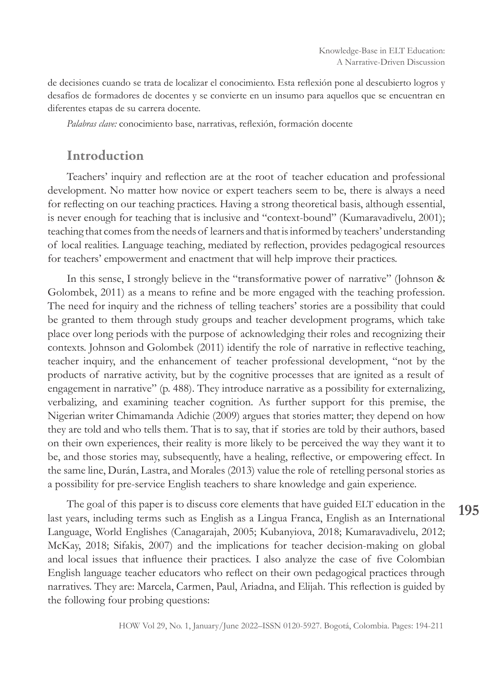de decisiones cuando se trata de localizar el conocimiento. Esta reflexión pone al descubierto logros y desafíos de formadores de docentes y se convierte en un insumo para aquellos que se encuentran en diferentes etapas de su carrera docente.

*Palabras clave:* conocimiento base, narrativas, reflexión, formación docente

# Introduction

Teachers' inquiry and reflection are at the root of teacher education and professional development. No matter how novice or expert teachers seem to be, there is always a need for reflecting on our teaching practices. Having a strong theoretical basis, although essential, is never enough for teaching that is inclusive and "context-bound" (Kumaravadivelu, 2001); teaching that comes from the needs of learners and that is informed by teachers' understanding of local realities. Language teaching, mediated by reflection, provides pedagogical resources for teachers' empowerment and enactment that will help improve their practices.

In this sense, I strongly believe in the "transformative power of narrative" (Johnson & Golombek, 2011) as a means to refine and be more engaged with the teaching profession. The need for inquiry and the richness of telling teachers' stories are a possibility that could be granted to them through study groups and teacher development programs, which take place over long periods with the purpose of acknowledging their roles and recognizing their contexts. Johnson and Golombek (2011) identify the role of narrative in reflective teaching, teacher inquiry, and the enhancement of teacher professional development, "not by the products of narrative activity, but by the cognitive processes that are ignited as a result of engagement in narrative" (p. 488). They introduce narrative as a possibility for externalizing, verbalizing, and examining teacher cognition. As further support for this premise, the Nigerian writer Chimamanda Adichie (2009) argues that stories matter; they depend on how they are told and who tells them. That is to say, that if stories are told by their authors, based on their own experiences, their reality is more likely to be perceived the way they want it to be, and those stories may, subsequently, have a healing, reflective, or empowering effect. In the same line, Durán, Lastra, and Morales (2013) value the role of retelling personal stories as a possibility for pre-service English teachers to share knowledge and gain experience.

The goal of this paper is to discuss core elements that have guided ELT education in the last years, including terms such as English as a Lingua Franca, English as an International Language, World Englishes (Canagarajah, 2005; Kubanyiova, 2018; Kumaravadivelu, 2012; McKay, 2018; Sifakis, 2007) and the implications for teacher decision-making on global and local issues that influence their practices. I also analyze the case of five Colombian English language teacher educators who reflect on their own pedagogical practices through narratives. They are: Marcela, Carmen, Paul, Ariadna, and Elijah. This reflection is guided by the following four probing questions: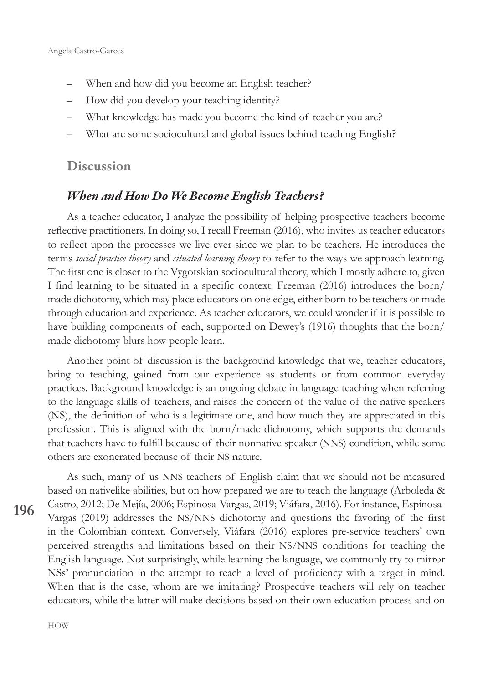- When and how did you become an English teacher?
- How did you develop your teaching identity?
- What knowledge has made you become the kind of teacher you are?
- What are some sociocultural and global issues behind teaching English?

#### **Discussion**

## *When and How Do We Become English Teachers?*

As a teacher educator, I analyze the possibility of helping prospective teachers become reflective practitioners. In doing so, I recall Freeman (2016), who invites us teacher educators to reflect upon the processes we live ever since we plan to be teachers. He introduces the terms *social practice theory* and *situated learning theory* to refer to the ways we approach learning. The first one is closer to the Vygotskian sociocultural theory, which I mostly adhere to, given I find learning to be situated in a specific context. Freeman (2016) introduces the born/ made dichotomy, which may place educators on one edge, either born to be teachers or made through education and experience. As teacher educators, we could wonder if it is possible to have building components of each, supported on Dewey's (1916) thoughts that the born/ made dichotomy blurs how people learn.

Another point of discussion is the background knowledge that we, teacher educators, bring to teaching, gained from our experience as students or from common everyday practices. Background knowledge is an ongoing debate in language teaching when referring to the language skills of teachers, and raises the concern of the value of the native speakers (NS), the definition of who is a legitimate one, and how much they are appreciated in this profession. This is aligned with the born/made dichotomy, which supports the demands that teachers have to fulfill because of their nonnative speaker (NNS) condition, while some others are exonerated because of their NS nature.

**196**

As such, many of us NNS teachers of English claim that we should not be measured based on nativelike abilities, but on how prepared we are to teach the language (Arboleda & Castro, 2012; De Mejía, 2006; Espinosa-Vargas, 2019; Viáfara, 2016). For instance, Espinosa-Vargas (2019) addresses the NS/NNS dichotomy and questions the favoring of the first in the Colombian context. Conversely, Viáfara (2016) explores pre-service teachers' own perceived strengths and limitations based on their NS/NNS conditions for teaching the English language. Not surprisingly, while learning the language, we commonly try to mirror NSs' pronunciation in the attempt to reach a level of proficiency with a target in mind. When that is the case, whom are we imitating? Prospective teachers will rely on teacher educators, while the latter will make decisions based on their own education process and on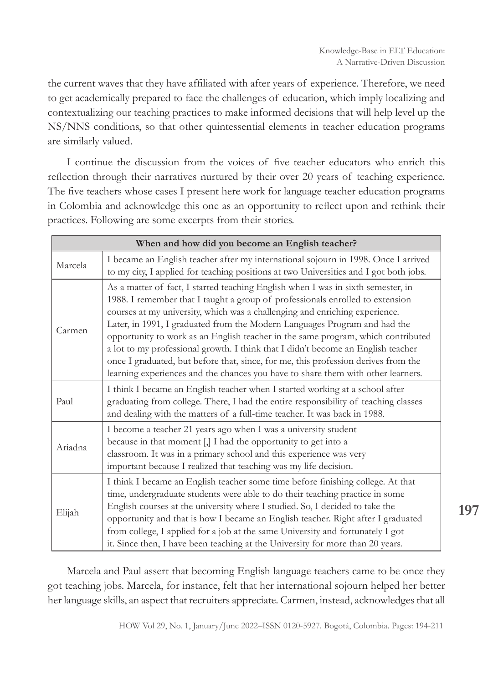the current waves that they have affiliated with after years of experience. Therefore, we need to get academically prepared to face the challenges of education, which imply localizing and contextualizing our teaching practices to make informed decisions that will help level up the NS/NNS conditions, so that other quintessential elements in teacher education programs are similarly valued.

I continue the discussion from the voices of five teacher educators who enrich this reflection through their narratives nurtured by their over 20 years of teaching experience. The five teachers whose cases I present here work for language teacher education programs in Colombia and acknowledge this one as an opportunity to reflect upon and rethink their practices. Following are some excerpts from their stories.

| When and how did you become an English teacher? |                                                                                                                                                                                                                                                                                                                                                                                                                                                                                                                                                                                                                                                                                 |  |
|-------------------------------------------------|---------------------------------------------------------------------------------------------------------------------------------------------------------------------------------------------------------------------------------------------------------------------------------------------------------------------------------------------------------------------------------------------------------------------------------------------------------------------------------------------------------------------------------------------------------------------------------------------------------------------------------------------------------------------------------|--|
| Marcela                                         | I became an English teacher after my international sojourn in 1998. Once I arrived<br>to my city, I applied for teaching positions at two Universities and I got both jobs.                                                                                                                                                                                                                                                                                                                                                                                                                                                                                                     |  |
| Carmen                                          | As a matter of fact, I started teaching English when I was in sixth semester, in<br>1988. I remember that I taught a group of professionals enrolled to extension<br>courses at my university, which was a challenging and enriching experience.<br>Later, in 1991, I graduated from the Modern Languages Program and had the<br>opportunity to work as an English teacher in the same program, which contributed<br>a lot to my professional growth. I think that I didn't become an English teacher<br>once I graduated, but before that, since, for me, this profession derives from the<br>learning experiences and the chances you have to share them with other learners. |  |
| Paul                                            | I think I became an English teacher when I started working at a school after<br>graduating from college. There, I had the entire responsibility of teaching classes<br>and dealing with the matters of a full-time teacher. It was back in 1988.                                                                                                                                                                                                                                                                                                                                                                                                                                |  |
| Ariadna                                         | I become a teacher 21 years ago when I was a university student<br>because in that moment [,] I had the opportunity to get into a<br>classroom. It was in a primary school and this experience was very<br>important because I realized that teaching was my life decision.                                                                                                                                                                                                                                                                                                                                                                                                     |  |
| Elijah                                          | I think I became an English teacher some time before finishing college. At that<br>time, undergraduate students were able to do their teaching practice in some<br>English courses at the university where I studied. So, I decided to take the<br>opportunity and that is how I became an English teacher. Right after I graduated<br>from college, I applied for a job at the same University and fortunately I got<br>it. Since then, I have been teaching at the University for more than 20 years.                                                                                                                                                                         |  |

Marcela and Paul assert that becoming English language teachers came to be once they got teaching jobs. Marcela, for instance, felt that her international sojourn helped her better her language skills, an aspect that recruiters appreciate. Carmen, instead, acknowledges that all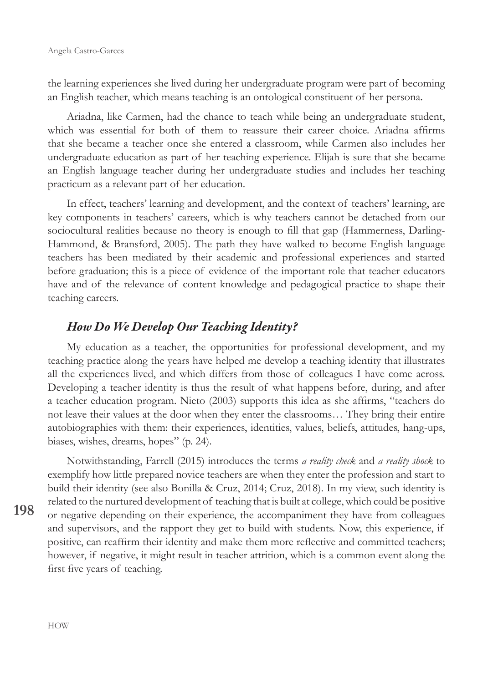the learning experiences she lived during her undergraduate program were part of becoming an English teacher, which means teaching is an ontological constituent of her persona.

Ariadna, like Carmen, had the chance to teach while being an undergraduate student, which was essential for both of them to reassure their career choice. Ariadna affirms that she became a teacher once she entered a classroom, while Carmen also includes her undergraduate education as part of her teaching experience. Elijah is sure that she became an English language teacher during her undergraduate studies and includes her teaching practicum as a relevant part of her education.

In effect, teachers' learning and development, and the context of teachers' learning, are key components in teachers' careers, which is why teachers cannot be detached from our sociocultural realities because no theory is enough to fill that gap (Hammerness, Darling-Hammond, & Bransford, 2005). The path they have walked to become English language teachers has been mediated by their academic and professional experiences and started before graduation; this is a piece of evidence of the important role that teacher educators have and of the relevance of content knowledge and pedagogical practice to shape their teaching careers.

## *How Do We Develop Our Teaching Identity?*

My education as a teacher, the opportunities for professional development, and my teaching practice along the years have helped me develop a teaching identity that illustrates all the experiences lived, and which differs from those of colleagues I have come across. Developing a teacher identity is thus the result of what happens before, during, and after a teacher education program. Nieto (2003) supports this idea as she affirms, "teachers do not leave their values at the door when they enter the classrooms… They bring their entire autobiographies with them: their experiences, identities, values, beliefs, attitudes, hang-ups, biases, wishes, dreams, hopes" (p. 24).

**198** Notwithstanding, Farrell (2015) introduces the terms *a reality check* and *a reality shock* to exemplify how little prepared novice teachers are when they enter the profession and start to build their identity (see also Bonilla & Cruz, 2014; Cruz, 2018). In my view, such identity is related to the nurtured development of teaching that is built at college, which could be positive or negative depending on their experience, the accompaniment they have from colleagues and supervisors, and the rapport they get to build with students. Now, this experience, if positive, can reaffirm their identity and make them more reflective and committed teachers; however, if negative, it might result in teacher attrition, which is a common event along the first five years of teaching.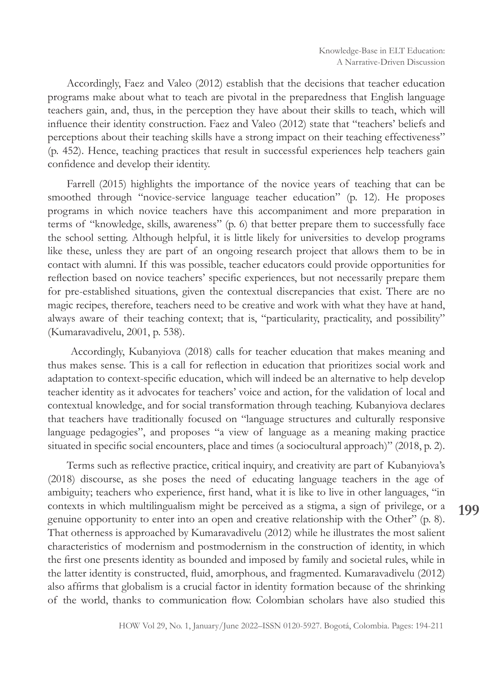Accordingly, Faez and Valeo (2012) establish that the decisions that teacher education programs make about what to teach are pivotal in the preparedness that English language teachers gain, and, thus, in the perception they have about their skills to teach, which will influence their identity construction. Faez and Valeo (2012) state that "teachers' beliefs and perceptions about their teaching skills have a strong impact on their teaching effectiveness" (p. 452). Hence, teaching practices that result in successful experiences help teachers gain confidence and develop their identity.

Farrell (2015) highlights the importance of the novice years of teaching that can be smoothed through "novice-service language teacher education" (p. 12). He proposes programs in which novice teachers have this accompaniment and more preparation in terms of "knowledge, skills, awareness" (p. 6) that better prepare them to successfully face the school setting. Although helpful, it is little likely for universities to develop programs like these, unless they are part of an ongoing research project that allows them to be in contact with alumni. If this was possible, teacher educators could provide opportunities for reflection based on novice teachers' specific experiences, but not necessarily prepare them for pre-established situations, given the contextual discrepancies that exist. There are no magic recipes, therefore, teachers need to be creative and work with what they have at hand, always aware of their teaching context; that is, "particularity, practicality, and possibility" (Kumaravadivelu, 2001, p. 538).

 Accordingly, Kubanyiova (2018) calls for teacher education that makes meaning and thus makes sense. This is a call for reflection in education that prioritizes social work and adaptation to context-specific education, which will indeed be an alternative to help develop teacher identity as it advocates for teachers' voice and action, for the validation of local and contextual knowledge, and for social transformation through teaching. Kubanyiova declares that teachers have traditionally focused on "language structures and culturally responsive language pedagogies", and proposes "a view of language as a meaning making practice situated in specific social encounters, place and times (a sociocultural approach)" (2018, p. 2).

Terms such as reflective practice, critical inquiry, and creativity are part of Kubanyiova's (2018) discourse, as she poses the need of educating language teachers in the age of ambiguity; teachers who experience, first hand, what it is like to live in other languages, "in contexts in which multilingualism might be perceived as a stigma, a sign of privilege, or a genuine opportunity to enter into an open and creative relationship with the Other" (p. 8). That otherness is approached by Kumaravadivelu (2012) while he illustrates the most salient characteristics of modernism and postmodernism in the construction of identity, in which the first one presents identity as bounded and imposed by family and societal rules, while in the latter identity is constructed, fluid, amorphous, and fragmented. Kumaravadivelu (2012) also affirms that globalism is a crucial factor in identity formation because of the shrinking of the world, thanks to communication flow. Colombian scholars have also studied this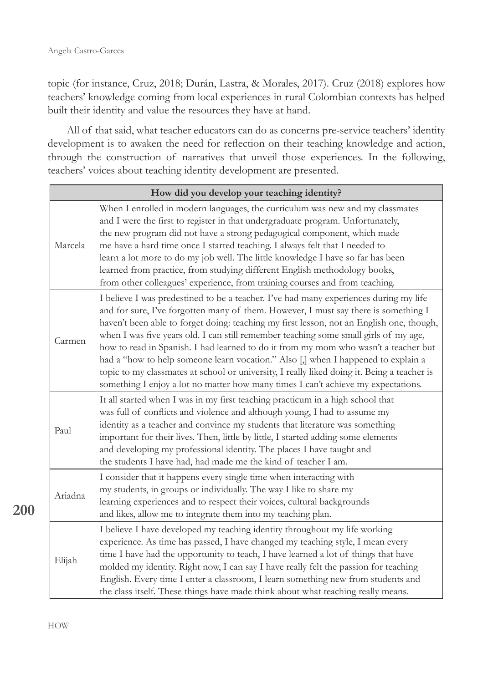topic (for instance, Cruz, 2018; Durán, Lastra, & Morales, 2017). Cruz (2018) explores how teachers' knowledge coming from local experiences in rural Colombian contexts has helped built their identity and value the resources they have at hand.

All of that said, what teacher educators can do as concerns pre-service teachers' identity development is to awaken the need for reflection on their teaching knowledge and action, through the construction of narratives that unveil those experiences. In the following, teachers' voices about teaching identity development are presented.

| How did you develop your teaching identity? |                                                                                                                                                                                                                                                                                                                                                                                                                                                                                                                                                                                                                                                                                                                                  |  |
|---------------------------------------------|----------------------------------------------------------------------------------------------------------------------------------------------------------------------------------------------------------------------------------------------------------------------------------------------------------------------------------------------------------------------------------------------------------------------------------------------------------------------------------------------------------------------------------------------------------------------------------------------------------------------------------------------------------------------------------------------------------------------------------|--|
| Marcela                                     | When I enrolled in modern languages, the curriculum was new and my classmates<br>and I were the first to register in that undergraduate program. Unfortunately,<br>the new program did not have a strong pedagogical component, which made<br>me have a hard time once I started teaching. I always felt that I needed to<br>learn a lot more to do my job well. The little knowledge I have so far has been<br>learned from practice, from studying different English methodology books,<br>from other colleagues' experience, from training courses and from teaching.                                                                                                                                                         |  |
| Carmen                                      | I believe I was predestined to be a teacher. I've had many experiences during my life<br>and for sure, I've forgotten many of them. However, I must say there is something I<br>haven't been able to forget doing: teaching my first lesson, not an English one, though,<br>when I was five years old. I can still remember teaching some small girls of my age,<br>how to read in Spanish. I had learned to do it from my mom who wasn't a teacher but<br>had a "how to help someone learn vocation." Also [,] when I happened to explain a<br>topic to my classmates at school or university, I really liked doing it. Being a teacher is<br>something I enjoy a lot no matter how many times I can't achieve my expectations. |  |
| Paul                                        | It all started when I was in my first teaching practicum in a high school that<br>was full of conflicts and violence and although young, I had to assume my<br>identity as a teacher and convince my students that literature was something<br>important for their lives. Then, little by little, I started adding some elements<br>and developing my professional identity. The places I have taught and<br>the students I have had, had made me the kind of teacher I am.                                                                                                                                                                                                                                                      |  |
| Ariadna                                     | I consider that it happens every single time when interacting with<br>my students, in groups or individually. The way I like to share my<br>learning experiences and to respect their voices, cultural backgrounds<br>and likes, allow me to integrate them into my teaching plan.                                                                                                                                                                                                                                                                                                                                                                                                                                               |  |
| Elijah                                      | I believe I have developed my teaching identity throughout my life working<br>experience. As time has passed, I have changed my teaching style, I mean every<br>time I have had the opportunity to teach, I have learned a lot of things that have<br>molded my identity. Right now, I can say I have really felt the passion for teaching<br>English. Every time I enter a classroom, I learn something new from students and<br>the class itself. These things have made think about what teaching really means.                                                                                                                                                                                                               |  |

**200**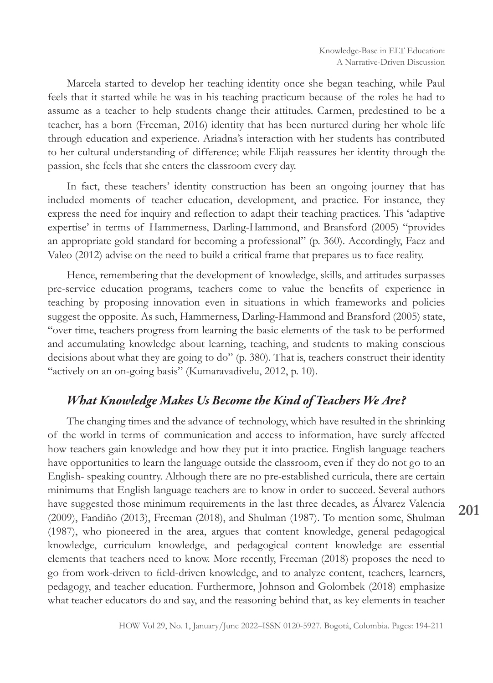Marcela started to develop her teaching identity once she began teaching, while Paul feels that it started while he was in his teaching practicum because of the roles he had to assume as a teacher to help students change their attitudes. Carmen, predestined to be a teacher, has a born (Freeman, 2016) identity that has been nurtured during her whole life through education and experience. Ariadna's interaction with her students has contributed to her cultural understanding of difference; while Elijah reassures her identity through the passion, she feels that she enters the classroom every day.

In fact, these teachers' identity construction has been an ongoing journey that has included moments of teacher education, development, and practice. For instance, they express the need for inquiry and reflection to adapt their teaching practices. This 'adaptive expertise' in terms of Hammerness, Darling-Hammond, and Bransford (2005) "provides an appropriate gold standard for becoming a professional" (p. 360). Accordingly, Faez and Valeo (2012) advise on the need to build a critical frame that prepares us to face reality.

Hence, remembering that the development of knowledge, skills, and attitudes surpasses pre-service education programs, teachers come to value the benefits of experience in teaching by proposing innovation even in situations in which frameworks and policies suggest the opposite. As such, Hammerness, Darling-Hammond and Bransford (2005) state, "over time, teachers progress from learning the basic elements of the task to be performed and accumulating knowledge about learning, teaching, and students to making conscious decisions about what they are going to do" (p. 380). That is, teachers construct their identity "actively on an on-going basis" (Kumaravadivelu, 2012, p. 10).

### *What Knowledge Makes Us Become the Kind of Teachers We Are?*

The changing times and the advance of technology, which have resulted in the shrinking of the world in terms of communication and access to information, have surely affected how teachers gain knowledge and how they put it into practice. English language teachers have opportunities to learn the language outside the classroom, even if they do not go to an English- speaking country. Although there are no pre-established curricula, there are certain minimums that English language teachers are to know in order to succeed. Several authors have suggested those minimum requirements in the last three decades, as Álvarez Valencia (2009), Fandiño (2013), Freeman (2018), and Shulman (1987). To mention some, Shulman (1987), who pioneered in the area, argues that content knowledge, general pedagogical knowledge, curriculum knowledge, and pedagogical content knowledge are essential elements that teachers need to know. More recently, Freeman (2018) proposes the need to go from work-driven to field-driven knowledge, and to analyze content, teachers, learners, pedagogy, and teacher education. Furthermore, Johnson and Golombek (2018) emphasize what teacher educators do and say, and the reasoning behind that, as key elements in teacher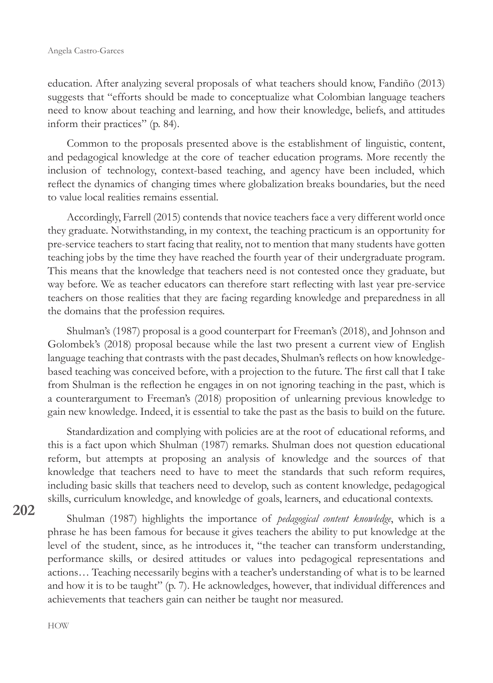education. After analyzing several proposals of what teachers should know, Fandiño (2013) suggests that "efforts should be made to conceptualize what Colombian language teachers need to know about teaching and learning, and how their knowledge, beliefs, and attitudes inform their practices" (p. 84).

Common to the proposals presented above is the establishment of linguistic, content, and pedagogical knowledge at the core of teacher education programs. More recently the inclusion of technology, context-based teaching, and agency have been included, which reflect the dynamics of changing times where globalization breaks boundaries, but the need to value local realities remains essential.

Accordingly, Farrell (2015) contends that novice teachers face a very different world once they graduate. Notwithstanding, in my context, the teaching practicum is an opportunity for pre-service teachers to start facing that reality, not to mention that many students have gotten teaching jobs by the time they have reached the fourth year of their undergraduate program. This means that the knowledge that teachers need is not contested once they graduate, but way before. We as teacher educators can therefore start reflecting with last year pre-service teachers on those realities that they are facing regarding knowledge and preparedness in all the domains that the profession requires.

Shulman's (1987) proposal is a good counterpart for Freeman's (2018), and Johnson and Golombek's (2018) proposal because while the last two present a current view of English language teaching that contrasts with the past decades, Shulman's reflects on how knowledgebased teaching was conceived before, with a projection to the future. The first call that I take from Shulman is the reflection he engages in on not ignoring teaching in the past, which is a counterargument to Freeman's (2018) proposition of unlearning previous knowledge to gain new knowledge. Indeed, it is essential to take the past as the basis to build on the future.

Standardization and complying with policies are at the root of educational reforms, and this is a fact upon which Shulman (1987) remarks. Shulman does not question educational reform, but attempts at proposing an analysis of knowledge and the sources of that knowledge that teachers need to have to meet the standards that such reform requires, including basic skills that teachers need to develop, such as content knowledge, pedagogical skills, curriculum knowledge, and knowledge of goals, learners, and educational contexts.

**202**

Shulman (1987) highlights the importance of *pedagogical content knowledge*, which is a phrase he has been famous for because it gives teachers the ability to put knowledge at the level of the student, since, as he introduces it, "the teacher can transform understanding, performance skills, or desired attitudes or values into pedagogical representations and actions… Teaching necessarily begins with a teacher's understanding of what is to be learned and how it is to be taught" (p. 7). He acknowledges, however, that individual differences and achievements that teachers gain can neither be taught nor measured.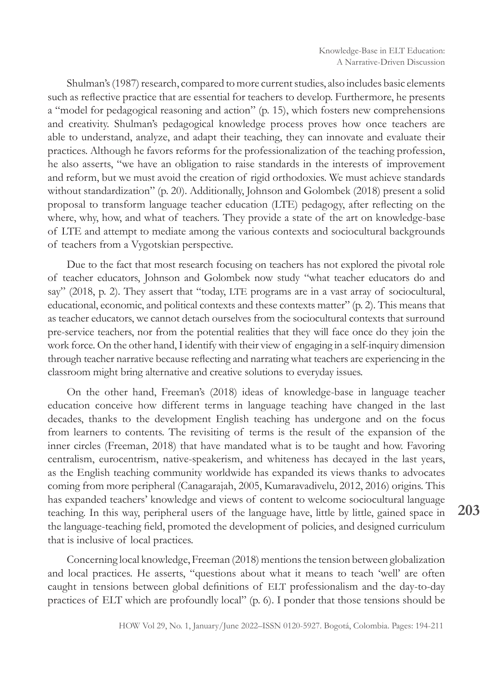Shulman's (1987) research, compared to more current studies, also includes basic elements such as reflective practice that are essential for teachers to develop. Furthermore, he presents a "model for pedagogical reasoning and action" (p. 15), which fosters new comprehensions and creativity. Shulman's pedagogical knowledge process proves how once teachers are able to understand, analyze, and adapt their teaching, they can innovate and evaluate their practices. Although he favors reforms for the professionalization of the teaching profession, he also asserts, "we have an obligation to raise standards in the interests of improvement and reform, but we must avoid the creation of rigid orthodoxies. We must achieve standards without standardization" (p. 20). Additionally, Johnson and Golombek (2018) present a solid proposal to transform language teacher education (LTE) pedagogy, after reflecting on the where, why, how, and what of teachers. They provide a state of the art on knowledge-base of LTE and attempt to mediate among the various contexts and sociocultural backgrounds of teachers from a Vygotskian perspective.

Due to the fact that most research focusing on teachers has not explored the pivotal role of teacher educators, Johnson and Golombek now study "what teacher educators do and say" (2018, p. 2). They assert that "today, LTE programs are in a vast array of sociocultural, educational, economic, and political contexts and these contexts matter" (p. 2). This means that as teacher educators, we cannot detach ourselves from the sociocultural contexts that surround pre-service teachers, nor from the potential realities that they will face once do they join the work force. On the other hand, I identify with their view of engaging in a self-inquiry dimension through teacher narrative because reflecting and narrating what teachers are experiencing in the classroom might bring alternative and creative solutions to everyday issues.

On the other hand, Freeman's (2018) ideas of knowledge-base in language teacher education conceive how different terms in language teaching have changed in the last decades, thanks to the development English teaching has undergone and on the focus from learners to contents. The revisiting of terms is the result of the expansion of the inner circles (Freeman, 2018) that have mandated what is to be taught and how. Favoring centralism, eurocentrism, native-speakerism, and whiteness has decayed in the last years, as the English teaching community worldwide has expanded its views thanks to advocates coming from more peripheral (Canagarajah, 2005, Kumaravadivelu, 2012, 2016) origins. This has expanded teachers' knowledge and views of content to welcome sociocultural language teaching. In this way, peripheral users of the language have, little by little, gained space in the language-teaching field, promoted the development of policies, and designed curriculum that is inclusive of local practices.

Concerning local knowledge, Freeman (2018) mentions the tension between globalization and local practices. He asserts, "questions about what it means to teach 'well' are often caught in tensions between global definitions of ELT professionalism and the day-to-day practices of ELT which are profoundly local" (p. 6). I ponder that those tensions should be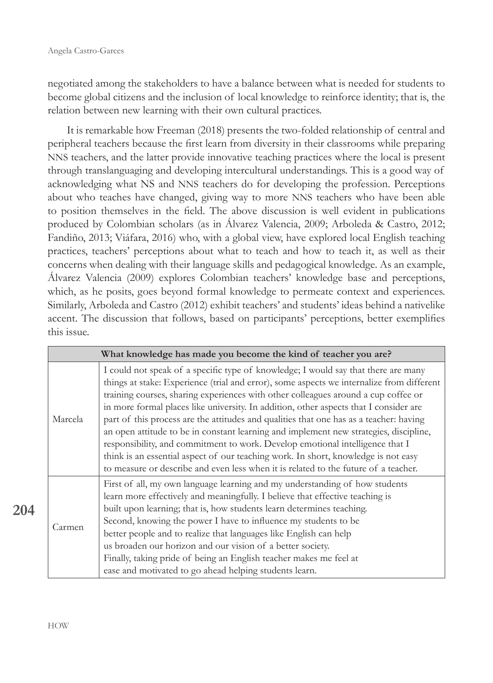negotiated among the stakeholders to have a balance between what is needed for students to become global citizens and the inclusion of local knowledge to reinforce identity; that is, the relation between new learning with their own cultural practices.

It is remarkable how Freeman (2018) presents the two-folded relationship of central and peripheral teachers because the first learn from diversity in their classrooms while preparing NNS teachers, and the latter provide innovative teaching practices where the local is present through translanguaging and developing intercultural understandings. This is a good way of acknowledging what NS and NNS teachers do for developing the profession. Perceptions about who teaches have changed, giving way to more NNS teachers who have been able to position themselves in the field. The above discussion is well evident in publications produced by Colombian scholars (as in Álvarez Valencia, 2009; Arboleda & Castro, 2012; Fandiño, 2013; Viáfara, 2016) who, with a global view, have explored local English teaching practices, teachers' perceptions about what to teach and how to teach it, as well as their concerns when dealing with their language skills and pedagogical knowledge. As an example, Álvarez Valencia (2009) explores Colombian teachers' knowledge base and perceptions, which, as he posits, goes beyond formal knowledge to permeate context and experiences. Similarly, Arboleda and Castro (2012) exhibit teachers' and students' ideas behind a nativelike accent. The discussion that follows, based on participants' perceptions, better exemplifies this issue.

|         | What knowledge has made you become the kind of teacher you are?                                                                                                                                                                                                                                                                                                                                                                                                                                                                                                                                                                                                                                                                                                                                                 |
|---------|-----------------------------------------------------------------------------------------------------------------------------------------------------------------------------------------------------------------------------------------------------------------------------------------------------------------------------------------------------------------------------------------------------------------------------------------------------------------------------------------------------------------------------------------------------------------------------------------------------------------------------------------------------------------------------------------------------------------------------------------------------------------------------------------------------------------|
| Marcela | I could not speak of a specific type of knowledge; I would say that there are many<br>things at stake: Experience (trial and error), some aspects we internalize from different<br>training courses, sharing experiences with other colleagues around a cup coffee or<br>in more formal places like university. In addition, other aspects that I consider are<br>part of this process are the attitudes and qualities that one has as a teacher: having<br>an open attitude to be in constant learning and implement new strategies, discipline,<br>responsibility, and commitment to work. Develop emotional intelligence that I<br>think is an essential aspect of our teaching work. In short, knowledge is not easy<br>to measure or describe and even less when it is related to the future of a teacher. |
| Carmen  | First of all, my own language learning and my understanding of how students<br>learn more effectively and meaningfully. I believe that effective teaching is<br>built upon learning; that is, how students learn determines teaching.<br>Second, knowing the power I have to influence my students to be<br>better people and to realize that languages like English can help<br>us broaden our horizon and our vision of a better society.<br>Finally, taking pride of being an English teacher makes me feel at<br>ease and motivated to go ahead helping students learn.                                                                                                                                                                                                                                     |

**204**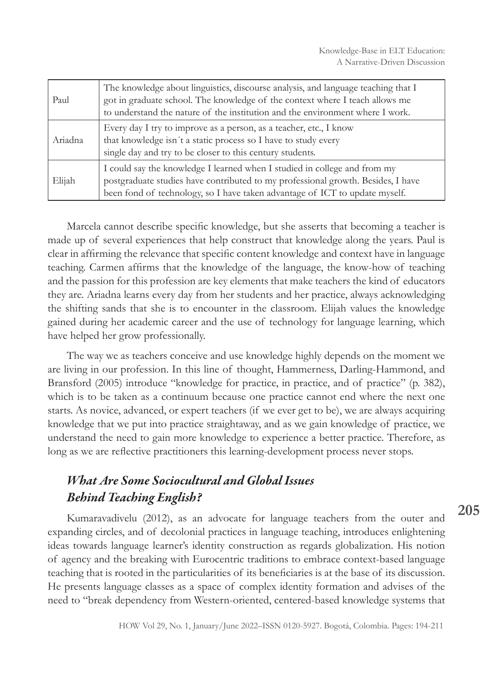| Paul    | The knowledge about linguistics, discourse analysis, and language teaching that I<br>got in graduate school. The knowledge of the context where I teach allows me<br>to understand the nature of the institution and the environment where I work. |
|---------|----------------------------------------------------------------------------------------------------------------------------------------------------------------------------------------------------------------------------------------------------|
| Ariadna | Every day I try to improve as a person, as a teacher, etc., I know<br>that knowledge isn't a static process so I have to study every<br>single day and try to be closer to this century students.                                                  |
| Elijah  | I could say the knowledge I learned when I studied in college and from my<br>postgraduate studies have contributed to my professional growth. Besides, I have<br>been fond of technology, so I have taken advantage of ICT to update myself.       |

Marcela cannot describe specific knowledge, but she asserts that becoming a teacher is made up of several experiences that help construct that knowledge along the years. Paul is clear in affirming the relevance that specific content knowledge and context have in language teaching. Carmen affirms that the knowledge of the language, the know-how of teaching and the passion for this profession are key elements that make teachers the kind of educators they are. Ariadna learns every day from her students and her practice, always acknowledging the shifting sands that she is to encounter in the classroom. Elijah values the knowledge gained during her academic career and the use of technology for language learning, which have helped her grow professionally.

The way we as teachers conceive and use knowledge highly depends on the moment we are living in our profession. In this line of thought, Hammerness, Darling-Hammond, and Bransford (2005) introduce "knowledge for practice, in practice, and of practice" (p. 382), which is to be taken as a continuum because one practice cannot end where the next one starts. As novice, advanced, or expert teachers (if we ever get to be), we are always acquiring knowledge that we put into practice straightaway, and as we gain knowledge of practice, we understand the need to gain more knowledge to experience a better practice. Therefore, as long as we are reflective practitioners this learning-development process never stops.

# *What Are Some Sociocultural and Global Issues Behind Teaching English?*

Kumaravadivelu (2012), as an advocate for language teachers from the outer and expanding circles, and of decolonial practices in language teaching, introduces enlightening ideas towards language learner's identity construction as regards globalization. His notion of agency and the breaking with Eurocentric traditions to embrace context-based language teaching that is rooted in the particularities of its beneficiaries is at the base of its discussion. He presents language classes as a space of complex identity formation and advises of the need to "break dependency from Western-oriented, centered-based knowledge systems that **205**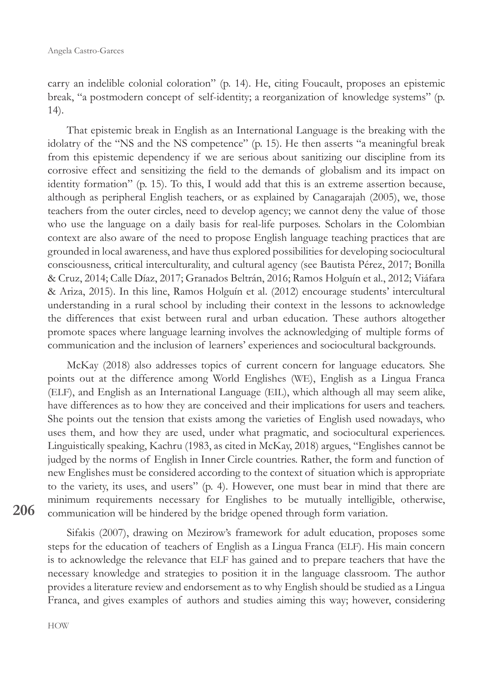carry an indelible colonial coloration" (p. 14). He, citing Foucault, proposes an epistemic break, "a postmodern concept of self-identity; a reorganization of knowledge systems" (p. 14).

That epistemic break in English as an International Language is the breaking with the idolatry of the "NS and the NS competence" (p. 15). He then asserts "a meaningful break from this epistemic dependency if we are serious about sanitizing our discipline from its corrosive effect and sensitizing the field to the demands of globalism and its impact on identity formation" (p. 15). To this, I would add that this is an extreme assertion because, although as peripheral English teachers, or as explained by Canagarajah (2005), we, those teachers from the outer circles, need to develop agency; we cannot deny the value of those who use the language on a daily basis for real-life purposes. Scholars in the Colombian context are also aware of the need to propose English language teaching practices that are grounded in local awareness, and have thus explored possibilities for developing sociocultural consciousness, critical interculturality, and cultural agency (see Bautista Pérez, 2017; Bonilla & Cruz, 2014; Calle Díaz, 2017; Granados Beltrán, 2016; Ramos Holguín et al., 2012; Viáfara & Ariza, 2015). In this line, Ramos Holguín et al. (2012) encourage students' intercultural understanding in a rural school by including their context in the lessons to acknowledge the differences that exist between rural and urban education. These authors altogether promote spaces where language learning involves the acknowledging of multiple forms of communication and the inclusion of learners' experiences and sociocultural backgrounds.

McKay (2018) also addresses topics of current concern for language educators. She points out at the difference among World Englishes (WE), English as a Lingua Franca (ELF), and English as an International Language (EIL), which although all may seem alike, have differences as to how they are conceived and their implications for users and teachers. She points out the tension that exists among the varieties of English used nowadays, who uses them, and how they are used, under what pragmatic, and sociocultural experiences. Linguistically speaking, Kachru (1983, as cited in McKay, 2018) argues, "Englishes cannot be judged by the norms of English in Inner Circle countries. Rather, the form and function of new Englishes must be considered according to the context of situation which is appropriate to the variety, its uses, and users" (p. 4). However, one must bear in mind that there are minimum requirements necessary for Englishes to be mutually intelligible, otherwise, communication will be hindered by the bridge opened through form variation.

Sifakis (2007), drawing on Mezirow's framework for adult education, proposes some steps for the education of teachers of English as a Lingua Franca (ELF). His main concern is to acknowledge the relevance that ELF has gained and to prepare teachers that have the necessary knowledge and strategies to position it in the language classroom. The author provides a literature review and endorsement as to why English should be studied as a Lingua Franca, and gives examples of authors and studies aiming this way; however, considering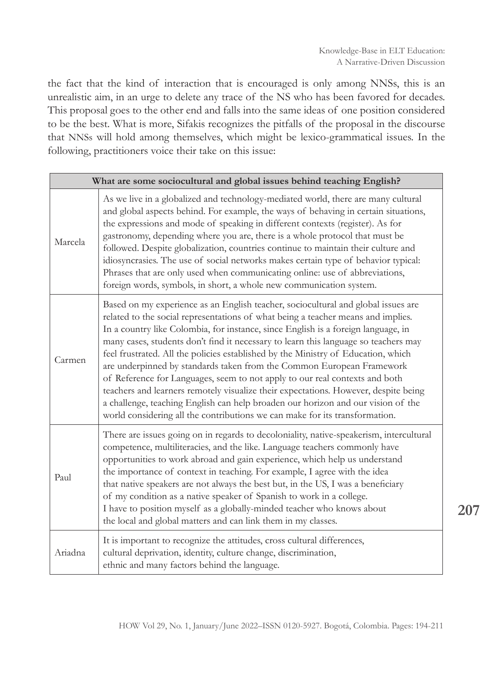**207**

the fact that the kind of interaction that is encouraged is only among NNSs, this is an unrealistic aim, in an urge to delete any trace of the NS who has been favored for decades. This proposal goes to the other end and falls into the same ideas of one position considered to be the best. What is more, Sifakis recognizes the pitfalls of the proposal in the discourse that NNSs will hold among themselves, which might be lexico-grammatical issues. In the following, practitioners voice their take on this issue:

| What are some sociocultural and global issues behind teaching English? |                                                                                                                                                                                                                                                                                                                                                                                                                                                                                                                                                                                                                                                                                                                                                                                                                                                          |  |
|------------------------------------------------------------------------|----------------------------------------------------------------------------------------------------------------------------------------------------------------------------------------------------------------------------------------------------------------------------------------------------------------------------------------------------------------------------------------------------------------------------------------------------------------------------------------------------------------------------------------------------------------------------------------------------------------------------------------------------------------------------------------------------------------------------------------------------------------------------------------------------------------------------------------------------------|--|
| Marcela                                                                | As we live in a globalized and technology-mediated world, there are many cultural<br>and global aspects behind. For example, the ways of behaving in certain situations,<br>the expressions and mode of speaking in different contexts (register). As for<br>gastronomy, depending where you are, there is a whole protocol that must be<br>followed. Despite globalization, countries continue to maintain their culture and<br>idiosyncrasies. The use of social networks makes certain type of behavior typical:<br>Phrases that are only used when communicating online: use of abbreviations,<br>foreign words, symbols, in short, a whole new communication system.                                                                                                                                                                                |  |
| Carmen                                                                 | Based on my experience as an English teacher, sociocultural and global issues are<br>related to the social representations of what being a teacher means and implies.<br>In a country like Colombia, for instance, since English is a foreign language, in<br>many cases, students don't find it necessary to learn this language so teachers may<br>feel frustrated. All the policies established by the Ministry of Education, which<br>are underpinned by standards taken from the Common European Framework<br>of Reference for Languages, seem to not apply to our real contexts and both<br>teachers and learners remotely visualize their expectations. However, despite being<br>a challenge, teaching English can help broaden our horizon and our vision of the<br>world considering all the contributions we can make for its transformation. |  |
| Paul                                                                   | There are issues going on in regards to decoloniality, native-speakerism, intercultural<br>competence, multiliteracies, and the like. Language teachers commonly have<br>opportunities to work abroad and gain experience, which help us understand<br>the importance of context in teaching. For example, I agree with the idea<br>that native speakers are not always the best but, in the US, I was a beneficiary<br>of my condition as a native speaker of Spanish to work in a college.<br>I have to position myself as a globally-minded teacher who knows about<br>the local and global matters and can link them in my classes.                                                                                                                                                                                                                  |  |
| Ariadna                                                                | It is important to recognize the attitudes, cross cultural differences,<br>cultural deprivation, identity, culture change, discrimination,<br>ethnic and many factors behind the language.                                                                                                                                                                                                                                                                                                                                                                                                                                                                                                                                                                                                                                                               |  |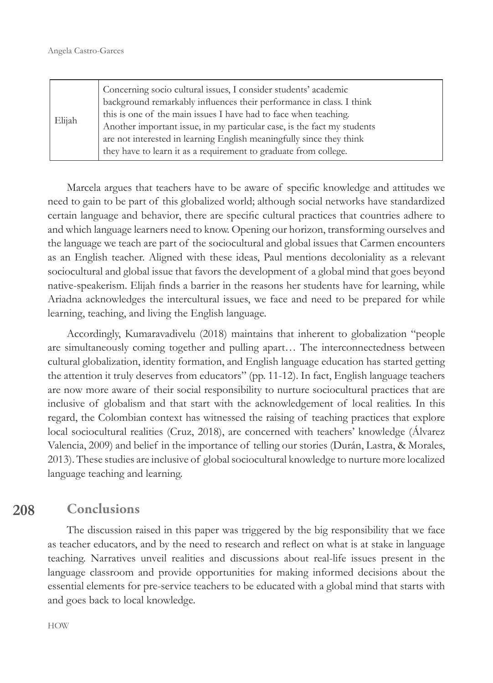| Elijah | Concerning socio cultural issues, I consider students' academic<br>background remarkably influences their performance in class. I think<br>this is one of the main issues I have had to face when teaching.<br>Another important issue, in my particular case, is the fact my students<br>are not interested in learning English meaningfully since they think<br>they have to learn it as a requirement to graduate from college. |
|--------|------------------------------------------------------------------------------------------------------------------------------------------------------------------------------------------------------------------------------------------------------------------------------------------------------------------------------------------------------------------------------------------------------------------------------------|
|--------|------------------------------------------------------------------------------------------------------------------------------------------------------------------------------------------------------------------------------------------------------------------------------------------------------------------------------------------------------------------------------------------------------------------------------------|

Marcela argues that teachers have to be aware of specific knowledge and attitudes we need to gain to be part of this globalized world; although social networks have standardized certain language and behavior, there are specific cultural practices that countries adhere to and which language learners need to know. Opening our horizon, transforming ourselves and the language we teach are part of the sociocultural and global issues that Carmen encounters as an English teacher. Aligned with these ideas, Paul mentions decoloniality as a relevant sociocultural and global issue that favors the development of a global mind that goes beyond native-speakerism. Elijah finds a barrier in the reasons her students have for learning, while Ariadna acknowledges the intercultural issues, we face and need to be prepared for while learning, teaching, and living the English language.

Accordingly, Kumaravadivelu (2018) maintains that inherent to globalization "people are simultaneously coming together and pulling apart… The interconnectedness between cultural globalization, identity formation, and English language education has started getting the attention it truly deserves from educators" (pp. 11-12). In fact, English language teachers are now more aware of their social responsibility to nurture sociocultural practices that are inclusive of globalism and that start with the acknowledgement of local realities. In this regard, the Colombian context has witnessed the raising of teaching practices that explore local sociocultural realities (Cruz, 2018), are concerned with teachers' knowledge (Álvarez Valencia, 2009) and belief in the importance of telling our stories (Durán, Lastra, & Morales, 2013). These studies are inclusive of global sociocultural knowledge to nurture more localized language teaching and learning.

#### **208** Conclusions

The discussion raised in this paper was triggered by the big responsibility that we face as teacher educators, and by the need to research and reflect on what is at stake in language teaching. Narratives unveil realities and discussions about real-life issues present in the language classroom and provide opportunities for making informed decisions about the essential elements for pre-service teachers to be educated with a global mind that starts with and goes back to local knowledge.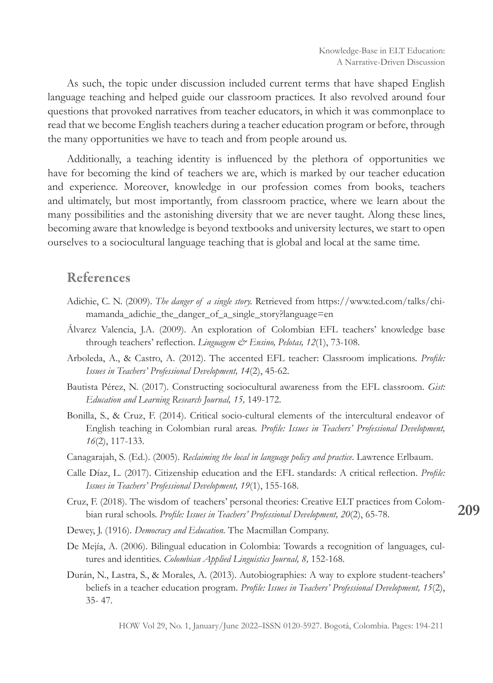**209**

As such, the topic under discussion included current terms that have shaped English language teaching and helped guide our classroom practices. It also revolved around four questions that provoked narratives from teacher educators, in which it was commonplace to read that we become English teachers during a teacher education program or before, through the many opportunities we have to teach and from people around us.

Additionally, a teaching identity is influenced by the plethora of opportunities we have for becoming the kind of teachers we are, which is marked by our teacher education and experience. Moreover, knowledge in our profession comes from books, teachers and ultimately, but most importantly, from classroom practice, where we learn about the many possibilities and the astonishing diversity that we are never taught. Along these lines, becoming aware that knowledge is beyond textbooks and university lectures, we start to open ourselves to a sociocultural language teaching that is global and local at the same time.

# References

- Adichie, C. N. (2009). *The danger of a single story.* Retrieved from https://www.ted.com/talks/chimamanda\_adichie\_the\_danger\_of\_a\_single\_story?language=en
- Álvarez Valencia, J.A. (2009). An exploration of Colombian EFL teachers' knowledge base through teachers' reflection. *Linguagem & Ensino, Pelotas, 12*(1), 73-108.
- Arboleda, A., & Castro, A. (2012). The accented EFL teacher: Classroom implications. *Profile: Issues in Teachers' Professional Development, 14*(2), 45-62.
- Bautista Pérez, N. (2017). Constructing sociocultural awareness from the EFL classroom. *Gist: Education and Learning Research Journal, 15,* 149-172.
- Bonilla, S., & Cruz, F. (2014). Critical socio-cultural elements of the intercultural endeavor of English teaching in Colombian rural areas. *Profile: Issues in Teachers' Professional Development, 16*(2), 117-133.
- Canagarajah, S. (Ed.). (2005). *Reclaiming the local in language policy and practice*. Lawrence Erlbaum.
- Calle Díaz, L. (2017). Citizenship education and the EFL standards: A critical reflection. *Profile: Issues in Teachers' Professional Development, 19*(1), 155-168.
- Cruz, F. (2018). The wisdom of teachers' personal theories: Creative ELT practices from Colombian rural schools. *Profile: Issues in Teachers' Professional Development, 20*(2), 65-78.
- Dewey, J. (1916). *Democracy and Education.* The Macmillan Company.
- De Mejía, A. (2006). Bilingual education in Colombia: Towards a recognition of languages, cultures and identities. *Colombian Applied Linguistics Journal, 8,* 152-168.
- Durán, N., Lastra, S., & Morales, A. (2013). Autobiographies: A way to explore student-teachers' beliefs in a teacher education program. *Profile: Issues in Teachers' Professional Development, 15*(2), 35- 47.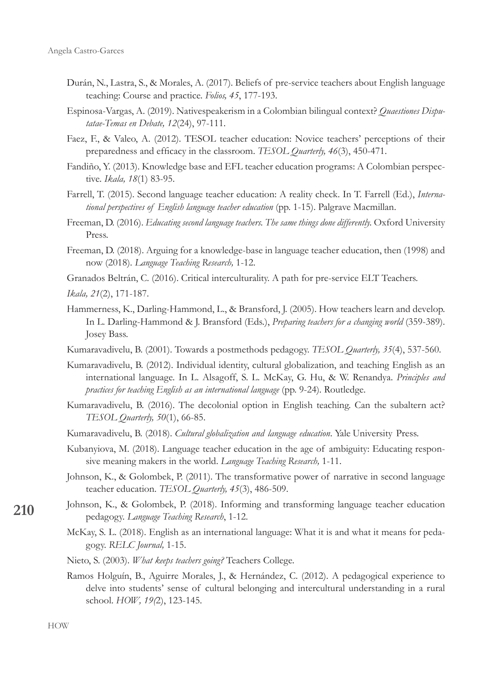- Durán, N., Lastra, S., & Morales, A. (2017). Beliefs of pre-service teachers about English language teaching: Course and practice. *Folios, 45*, 177-193.
- Espinosa-Vargas, A. (2019). Nativespeakerism in a Colombian bilingual context? *Quaestiones Disputatae-Temas en Debate, 12*(24), 97-111.
- Faez, F., & Valeo, A. (2012). TESOL teacher education: Novice teachers' perceptions of their preparedness and efficacy in the classroom. *TESOL Quarterly, 46*(3), 450-471.
- Fandiño, Y. (2013). Knowledge base and EFL teacher education programs: A Colombian perspective. *Ikala, 18*(1) 83-95.
- Farrell, T. (2015). Second language teacher education: A reality check. In T. Farrell (Ed.), *International perspectives of English language teacher education* (pp. 1-15). Palgrave Macmillan.
- Freeman, D. (2016). *Educating second language teachers. The same things done differently*. Oxford University Press.
- Freeman, D. (2018). Arguing for a knowledge-base in language teacher education, then (1998) and now (2018). *Language Teaching Research,* 1-12.
- Granados Beltrán, C. (2016). Critical interculturality. A path for pre-service ELT Teachers.

*Ikala, 21*(2), 171-187.

- Hammerness, K., Darling-Hammond, L., & Bransford, J. (2005). How teachers learn and develop. In L. Darling-Hammond & J. Bransford (Eds.), *Preparing teachers for a changing world* (359-389). Josey Bass.
- Kumaravadivelu, B. (2001). Towards a postmethods pedagogy. *TESOL Quarterly, 35*(4), 537-560.
- Kumaravadivelu, B. (2012). Individual identity, cultural globalization, and teaching English as an international language. In L. Alsagoff, S. L. McKay, G. Hu, & W. Renandya. *Principles and practices for teaching English as an international language* (pp. 9-24)*.* Routledge.
- Kumaravadivelu, B. (2016). The decolonial option in English teaching. Can the subaltern act? *TESOL Quarterly, 50*(1), 66-85.
- Kumaravadivelu, B. (2018). *Cultural globalization and language education*. Yale University Press.
- Kubanyiova, M. (2018). Language teacher education in the age of ambiguity: Educating responsive meaning makers in the world. *Language Teaching Research,* 1-11.
- Johnson, K., & Golombek, P. (2011). The transformative power of narrative in second language teacher education. *TESOL Quarterly, 45*(3), 486-509.
- Johnson, K., & Golombek, P. (2018). Informing and transforming language teacher education pedagogy. *Language Teaching Research*, 1-12.
	- McKay, S. L. (2018). English as an international language: What it is and what it means for pedagogy. *RELC Journal,* 1-15.
	- Nieto, S. (2003). *What keeps teachers going?* Teachers College.
	- Ramos Holguín, B., Aguirre Morales, J., & Hernández, C. (2012). A pedagogical experience to delve into students' sense of cultural belonging and intercultural understanding in a rural school. *HOW, 19(*2), 123-145.